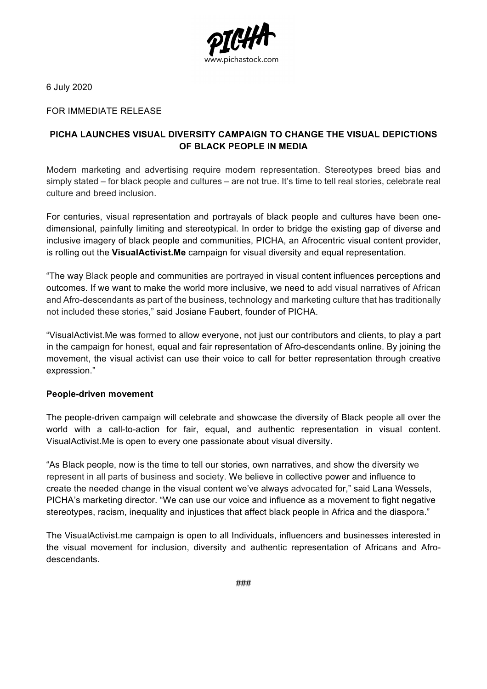

6 July 2020

FOR IMMEDIATE RELEASE

## **PICHA LAUNCHES VISUAL DIVERSITY CAMPAIGN TO CHANGE THE VISUAL DEPICTIONS OF BLACK PEOPLE IN MEDIA**

Modern marketing and advertising require modern representation. Stereotypes breed bias and simply stated – for black people and cultures – are not true. It's time to tell real stories, celebrate real culture and breed inclusion.

For centuries, visual representation and portrayals of black people and cultures have been onedimensional, painfully limiting and stereotypical. In order to bridge the existing gap of diverse and inclusive imagery of black people and communities, PICHA, an Afrocentric visual content provider, is rolling out the **VisualActivist.Me** campaign for visual diversity and equal representation.

"The way Black people and communities are portrayed in visual content influences perceptions and outcomes. If we want to make the world more inclusive, we need to add visual narratives of African and Afro-descendants as part of the business, technology and marketing culture that has traditionally not included these stories," said Josiane Faubert, founder of PICHA.

"VisualActivist.Me was formed to allow everyone, not just our contributors and clients, to play a part in the campaign for honest, equal and fair representation of Afro-descendants online. By joining the movement, the visual activist can use their voice to call for better representation through creative expression."

## **People-driven movement**

The people-driven campaign will celebrate and showcase the diversity of Black people all over the world with a call-to-action for fair, equal, and authentic representation in visual content. VisualActivist.Me is open to every one passionate about visual diversity.

"As Black people, now is the time to tell our stories, own narratives, and show the diversity we represent in all parts of business and society. We believe in collective power and influence to create the needed change in the visual content we've always advocated for," said Lana Wessels, PICHA's marketing director. "We can use our voice and influence as a movement to fight negative stereotypes, racism, inequality and injustices that affect black people in Africa and the diaspora."

The VisualActivist.me campaign is open to all Individuals, influencers and businesses interested in the visual movement for inclusion, diversity and authentic representation of Africans and Afrodescendants.